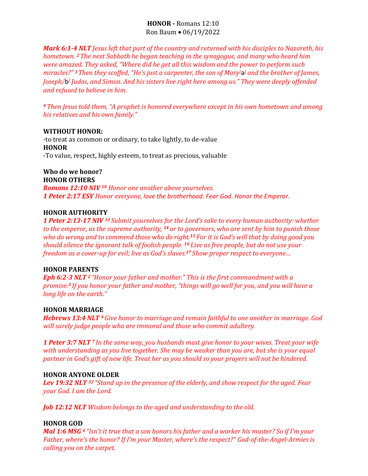# **HONOR -** Romans 12:10 Ron Baum • 06/19/2022

*Mark 6:1-4 NLT Jesus left that part of the country and returned with his disciples to Nazareth, his hometown. <sup>2</sup> The next Sabbath he began teaching in the synagogue, and many who heard him were amazed. They asked, "Where did he get all this wisdom and the power to perform such miracles?" <sup>3</sup>Then they scoffed, "He's just a carpenter, the son of Mary[*[a](https://www.biblegateway.com/passage/?search=Mark+6%3A1-4&version=NLT#fen-NLT-24384a) *] and the brother of James, Joseph,[*[b](https://www.biblegateway.com/passage/?search=Mark+6%3A1-4&version=NLT#fen-NLT-24384b)*] Judas, and Simon. And his sisters live right here among us." They were deeply offended and refused to believe in him.*

*<sup>4</sup> Then Jesus told them, "A prophet is honored everywhere except in his own hometown and among his relatives and his own family."*

#### **WITHOUT HONOR:**

-to treat as common or ordinary, to take lightly, to de-value **HONOR** -To value, respect, highly esteem, to treat as precious, valuable

**Who do we honor? HONOR OTHERS**

*Romans 12:10 NIV <sup>10</sup> Honor one another above yourselves. 1 Peter 2:17 ESV Honor everyone, love the brotherhood. Fear God. Honor the Emperor.*

### **HONOR AUTHORITY**

*1 Peter 2:13-17 NIV <sup>13</sup> Submit yourselves for the Lord's sake to every human authority: whether to the emperor, as the supreme authority, <sup>14</sup> or to governors, who are sent by him to punish those who do wrong and to commend those who do right.<sup>15</sup> For it is God's will that by doing good you should silence the ignorant talk of foolish people. <sup>16</sup> Live as free people, but do not use your freedom as a cover-up for evil; live as God's slaves.<sup>17</sup> Show proper respect to everyone…*

#### **HONOR PARENTS**

*Eph 6:2-3 NLT <sup>2</sup> "Honor your father and mother." This is the first commandment with a promise:<sup>3</sup> If you honor your father and mother, "things will go well for you, and you will have a long life on the earth."*

#### **HONOR MARRIAGE**

*Hebrews 13:4 NLT <sup>4</sup> Give honor to marriage and remain faithful to one another in marriage. God will surely judge people who are immoral and those who commit adultery.*

*1 Peter 3:7 NLT <sup>7</sup> In the same way, you husbands must give honor to your wives. Treat your wife with understanding as you live together. She may be weaker than you are, but she is your equal partner in God's gift of new life. Treat her as you should so your prayers will not be hindered.*

#### **HONOR ANYONE OLDER**

*Lev 19:32 NLT <sup>32</sup> "Stand up in the presence of the elderly, and show respect for the aged. Fear your God. I am the Lord.*

*Job 12:12 NLT Wisdom belongs to the aged and understanding to the old.*

## **HONOR GOD**

*Mal 1:6 MSG <sup>6</sup> "Isn't it true that a son honors his father and a worker his master? So if I'm your Father, where's the honor? If I'm your Master, where's the respect?" God-of-the-Angel-Armies is calling you on the carpet.*